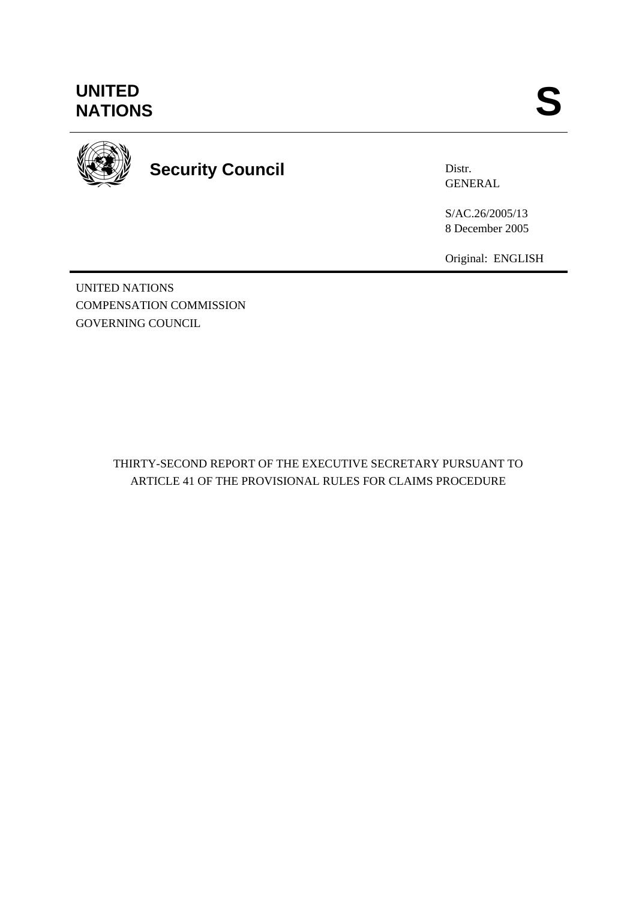# **UNITED<br>NATIONS** UNITED<br>NATIONS **S**



# **Security Council**

Distr. **GENERAL** 

S/AC.26/2005/13 8 December 2005

Original: ENGLISH

UNITED NATIONS COMPENSATION COMMISSION GOVERNING COUNCIL

> THIRTY-SECOND REPORT OF THE EXECUTIVE SECRETARY PURSUANT TO ARTICLE 41 OF THE PROVISIONAL RULES FOR CLAIMS PROCEDURE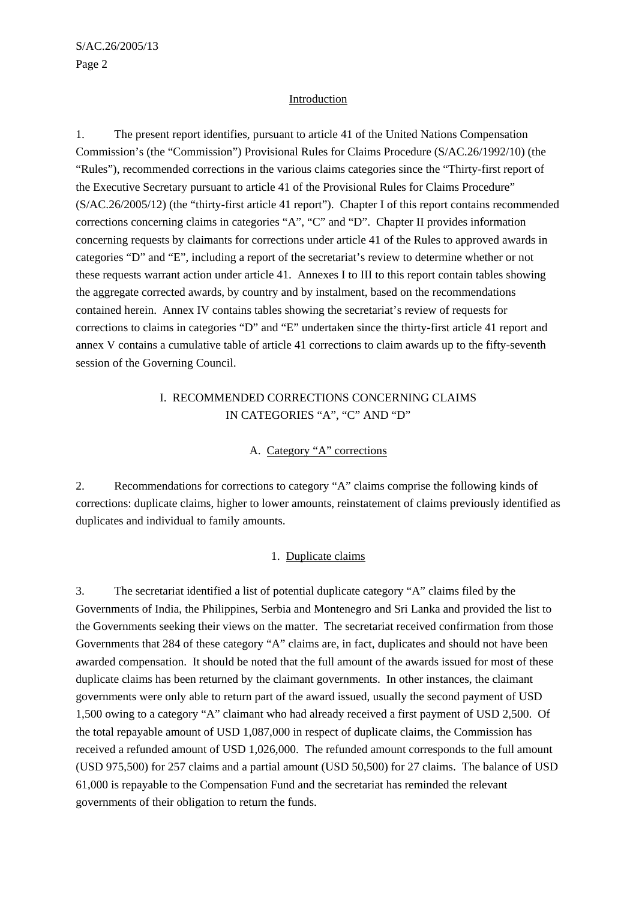#### Introduction

1. The present report identifies, pursuant to article 41 of the United Nations Compensation Commission's (the "Commission") Provisional Rules for Claims Procedure (S/AC.26/1992/10) (the "Rules"), recommended corrections in the various claims categories since the "Thirty-first report of the Executive Secretary pursuant to article 41 of the Provisional Rules for Claims Procedure" (S/AC.26/2005/12) (the "thirty-first article 41 report"). Chapter I of this report contains recommended corrections concerning claims in categories "A", "C" and "D". Chapter II provides information concerning requests by claimants for corrections under article 41 of the Rules to approved awards in categories "D" and "E", including a report of the secretariat's review to determine whether or not these requests warrant action under article 41. Annexes I to III to this report contain tables showing the aggregate corrected awards, by country and by instalment, based on the recommendations contained herein. Annex IV contains tables showing the secretariat's review of requests for corrections to claims in categories "D" and "E" undertaken since the thirty-first article 41 report and annex V contains a cumulative table of article 41 corrections to claim awards up to the fifty-seventh session of the Governing Council.

## I. RECOMMENDED CORRECTIONS CONCERNING CLAIMS IN CATEGORIES "A", "C" AND "D"

#### A. Category "A" corrections

2. Recommendations for corrections to category "A" claims comprise the following kinds of corrections: duplicate claims, higher to lower amounts, reinstatement of claims previously identified as duplicates and individual to family amounts.

#### 1. Duplicate claims

3. The secretariat identified a list of potential duplicate category "A" claims filed by the Governments of India, the Philippines, Serbia and Montenegro and Sri Lanka and provided the list to the Governments seeking their views on the matter. The secretariat received confirmation from those Governments that 284 of these category "A" claims are, in fact, duplicates and should not have been awarded compensation. It should be noted that the full amount of the awards issued for most of these duplicate claims has been returned by the claimant governments. In other instances, the claimant governments were only able to return part of the award issued, usually the second payment of USD 1,500 owing to a category "A" claimant who had already received a first payment of USD 2,500. Of the total repayable amount of USD 1,087,000 in respect of duplicate claims, the Commission has received a refunded amount of USD 1,026,000. The refunded amount corresponds to the full amount (USD 975,500) for 257 claims and a partial amount (USD 50,500) for 27 claims. The balance of USD 61,000 is repayable to the Compensation Fund and the secretariat has reminded the relevant governments of their obligation to return the funds.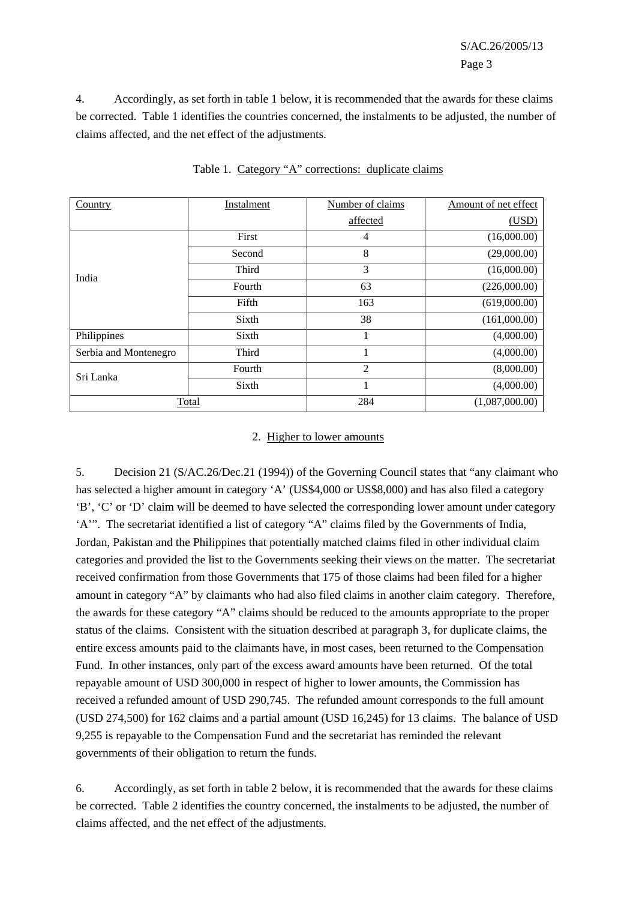S/AC.26/2005/13 Page 3

4. Accordingly, as set forth in table 1 below, it is recommended that the awards for these claims be corrected. Table 1 identifies the countries concerned, the instalments to be adjusted, the number of claims affected, and the net effect of the adjustments.

| Country               | Instalment | Number of claims | Amount of net effect |
|-----------------------|------------|------------------|----------------------|
|                       |            | affected         | (USD)                |
|                       | First      | 4                | (16,000.00)          |
| India                 | Second     | 8                | (29,000.00)          |
|                       | Third      | 3                | (16,000.00)          |
|                       | Fourth     | 63               | (226,000.00)         |
|                       | Fifth      | 163              | (619,000.00)         |
|                       | Sixth      | 38               | (161,000.00)         |
| Philippines           | Sixth      | 1                | (4,000.00)           |
| Serbia and Montenegro | Third      | 1                | (4,000.00)           |
| Sri Lanka             | Fourth     | $\overline{2}$   | (8,000.00)           |
|                       | Sixth      | 1                | (4,000.00)           |
| Total                 |            | 284              | (1,087,000.00)       |

Table 1. Category "A" corrections: duplicate claims

#### 2. Higher to lower amounts

5. Decision 21 (S/AC.26/Dec.21 (1994)) of the Governing Council states that "any claimant who has selected a higher amount in category 'A' (US\$4,000 or US\$8,000) and has also filed a category 'B', 'C' or 'D' claim will be deemed to have selected the corresponding lower amount under category 'A'". The secretariat identified a list of category "A" claims filed by the Governments of India, Jordan, Pakistan and the Philippines that potentially matched claims filed in other individual claim categories and provided the list to the Governments seeking their views on the matter. The secretariat received confirmation from those Governments that 175 of those claims had been filed for a higher amount in category "A" by claimants who had also filed claims in another claim category. Therefore, the awards for these category "A" claims should be reduced to the amounts appropriate to the proper status of the claims. Consistent with the situation described at paragraph 3, for duplicate claims, the entire excess amounts paid to the claimants have, in most cases, been returned to the Compensation Fund. In other instances, only part of the excess award amounts have been returned. Of the total repayable amount of USD 300,000 in respect of higher to lower amounts, the Commission has received a refunded amount of USD 290,745. The refunded amount corresponds to the full amount (USD 274,500) for 162 claims and a partial amount (USD 16,245) for 13 claims. The balance of USD 9,255 is repayable to the Compensation Fund and the secretariat has reminded the relevant governments of their obligation to return the funds.

6. Accordingly, as set forth in table 2 below, it is recommended that the awards for these claims be corrected. Table 2 identifies the country concerned, the instalments to be adjusted, the number of claims affected, and the net effect of the adjustments.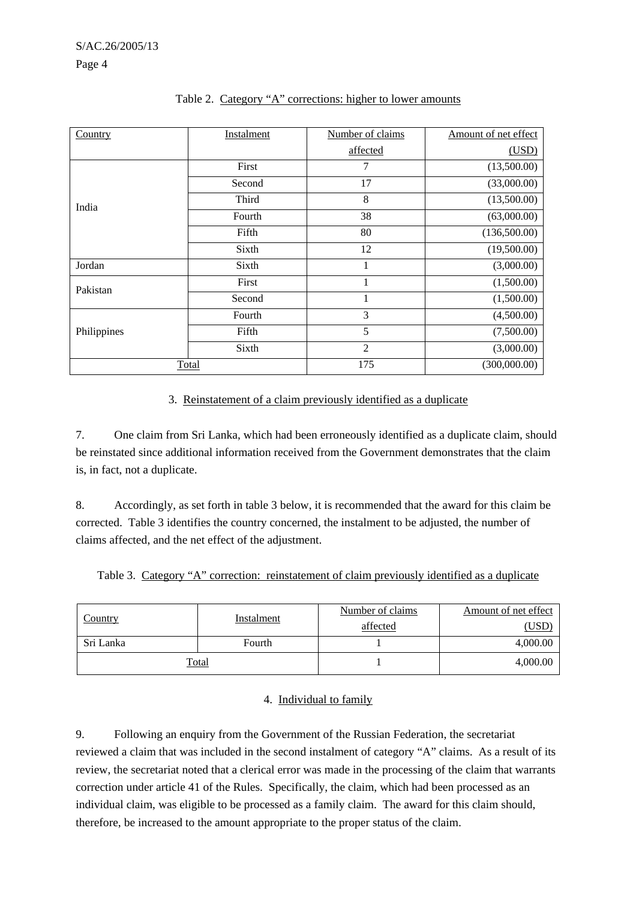Page 4

| Country     | Instalment | Number of claims | Amount of net effect |
|-------------|------------|------------------|----------------------|
|             |            | affected         | (USD)                |
|             | First      | 7                | (13,500.00)          |
| India       | Second     | 17               | (33,000.00)          |
|             | Third      | 8                | (13,500.00)          |
|             | Fourth     | 38               | (63,000.00)          |
|             | Fifth      | 80               | (136,500.00)         |
|             | Sixth      | 12               | (19,500.00)          |
| Jordan      | Sixth      | $\mathbf{1}$     | (3,000.00)           |
| Pakistan    | First      | 1                | (1,500.00)           |
|             | Second     | $\mathbf{1}$     | (1,500.00)           |
|             | Fourth     | 3                | (4,500.00)           |
| Philippines | Fifth      | 5                | (7,500.00)           |
|             | Sixth      | $\overline{2}$   | (3,000.00)           |
| Total       |            | 175              | (300,000.00)         |

## Table 2. Category "A" corrections: higher to lower amounts

## 3. Reinstatement of a claim previously identified as a duplicate

7. One claim from Sri Lanka, which had been erroneously identified as a duplicate claim, should be reinstated since additional information received from the Government demonstrates that the claim is, in fact, not a duplicate.

8. Accordingly, as set forth in table 3 below, it is recommended that the award for this claim be corrected. Table 3 identifies the country concerned, the instalment to be adjusted, the number of claims affected, and the net effect of the adjustment.

|  |  | Table 3. Category "A" correction: reinstatement of claim previously identified as a duplicate |  |  |  |
|--|--|-----------------------------------------------------------------------------------------------|--|--|--|
|  |  |                                                                                               |  |  |  |

| <u>Country</u> | Instalment | Number of claims | Amount of net effect |
|----------------|------------|------------------|----------------------|
|                |            | affected         | USD <sup>1</sup>     |
| Sri Lanka      | Fourth     |                  | 4,000.00             |
| Total          |            |                  | 4,000.00             |

## 4. Individual to family

9. Following an enquiry from the Government of the Russian Federation, the secretariat reviewed a claim that was included in the second instalment of category "A" claims. As a result of its review, the secretariat noted that a clerical error was made in the processing of the claim that warrants correction under article 41 of the Rules. Specifically, the claim, which had been processed as an individual claim, was eligible to be processed as a family claim. The award for this claim should, therefore, be increased to the amount appropriate to the proper status of the claim.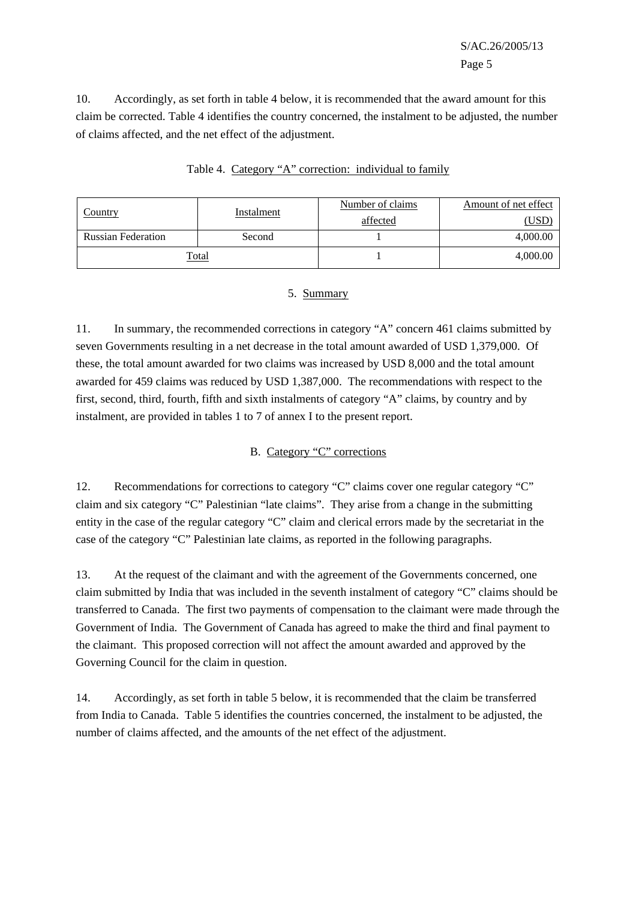10. Accordingly, as set forth in table 4 below, it is recommended that the award amount for this claim be corrected. Table 4 identifies the country concerned, the instalment to be adjusted, the number of claims affected, and the net effect of the adjustment.

| Country                   | Instalment | Number of claims | Amount of net effect |
|---------------------------|------------|------------------|----------------------|
|                           |            | affected         | (USD)                |
| <b>Russian Federation</b> | Second     |                  | 4,000.00             |
| <u>Total</u>              |            |                  | 4,000.00             |

|  | Table 4. Category "A" correction: individual to family |  |  |
|--|--------------------------------------------------------|--|--|
|  |                                                        |  |  |
|  |                                                        |  |  |

## 5. Summary

11. In summary, the recommended corrections in category "A" concern 461 claims submitted by seven Governments resulting in a net decrease in the total amount awarded of USD 1,379,000. Of these, the total amount awarded for two claims was increased by USD 8,000 and the total amount awarded for 459 claims was reduced by USD 1,387,000. The recommendations with respect to the first, second, third, fourth, fifth and sixth instalments of category "A" claims, by country and by instalment, are provided in tables 1 to 7 of annex I to the present report.

## B. Category "C" corrections

12. Recommendations for corrections to category "C" claims cover one regular category "C" claim and six category "C" Palestinian "late claims". They arise from a change in the submitting entity in the case of the regular category "C" claim and clerical errors made by the secretariat in the case of the category "C" Palestinian late claims, as reported in the following paragraphs.

13. At the request of the claimant and with the agreement of the Governments concerned, one claim submitted by India that was included in the seventh instalment of category "C" claims should be transferred to Canada. The first two payments of compensation to the claimant were made through the Government of India. The Government of Canada has agreed to make the third and final payment to the claimant. This proposed correction will not affect the amount awarded and approved by the Governing Council for the claim in question.

14. Accordingly, as set forth in table 5 below, it is recommended that the claim be transferred from India to Canada. Table 5 identifies the countries concerned, the instalment to be adjusted, the number of claims affected, and the amounts of the net effect of the adjustment.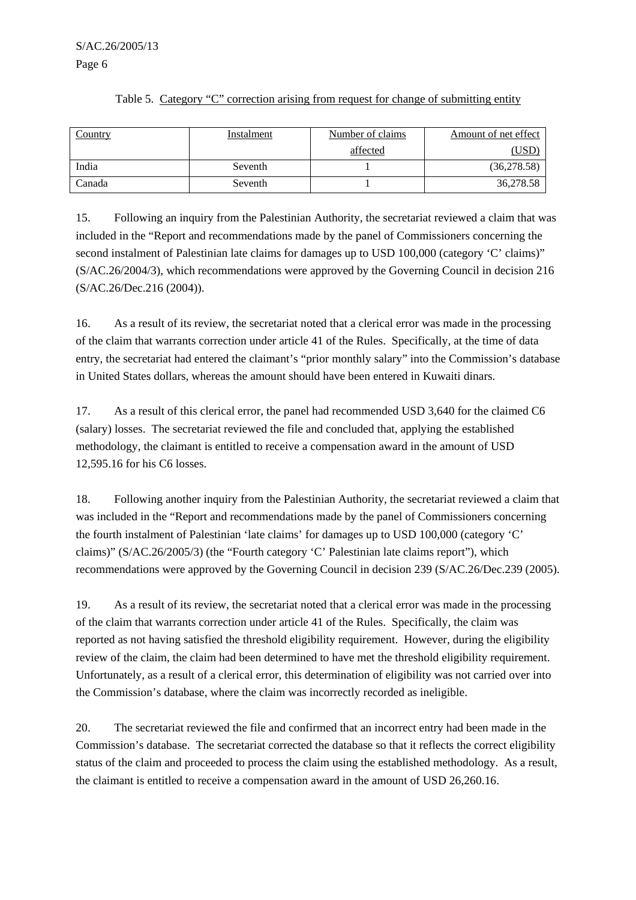Country **Instalment** Instalment Number of claims affected Amount of net effect (USD) India 1 (36,278.58) Canada  $\sim$  Seventh  $1$  1 36,278.58

#### Table 5. Category "C" correction arising from request for change of submitting entity

15. Following an inquiry from the Palestinian Authority, the secretariat reviewed a claim that was included in the "Report and recommendations made by the panel of Commissioners concerning the second instalment of Palestinian late claims for damages up to USD 100,000 (category 'C' claims)" (S/AC.26/2004/3), which recommendations were approved by the Governing Council in decision 216 (S/AC.26/Dec.216 (2004)).

16. As a result of its review, the secretariat noted that a clerical error was made in the processing of the claim that warrants correction under article 41 of the Rules. Specifically, at the time of data entry, the secretariat had entered the claimant's "prior monthly salary" into the Commission's database in United States dollars, whereas the amount should have been entered in Kuwaiti dinars.

17. As a result of this clerical error, the panel had recommended USD 3,640 for the claimed C6 (salary) losses. The secretariat reviewed the file and concluded that, applying the established methodology, the claimant is entitled to receive a compensation award in the amount of USD 12,595.16 for his C6 losses.

18. Following another inquiry from the Palestinian Authority, the secretariat reviewed a claim that was included in the "Report and recommendations made by the panel of Commissioners concerning the fourth instalment of Palestinian 'late claims' for damages up to USD 100,000 (category 'C' claims)" (S/AC.26/2005/3) (the "Fourth category 'C' Palestinian late claims report"), which recommendations were approved by the Governing Council in decision 239 (S/AC.26/Dec.239 (2005).

19. As a result of its review, the secretariat noted that a clerical error was made in the processing of the claim that warrants correction under article 41 of the Rules. Specifically, the claim was reported as not having satisfied the threshold eligibility requirement. However, during the eligibility review of the claim, the claim had been determined to have met the threshold eligibility requirement. Unfortunately, as a result of a clerical error, this determination of eligibility was not carried over into the Commission's database, where the claim was incorrectly recorded as ineligible.

20. The secretariat reviewed the file and confirmed that an incorrect entry had been made in the Commission's database. The secretariat corrected the database so that it reflects the correct eligibility status of the claim and proceeded to process the claim using the established methodology. As a result, the claimant is entitled to receive a compensation award in the amount of USD 26,260.16.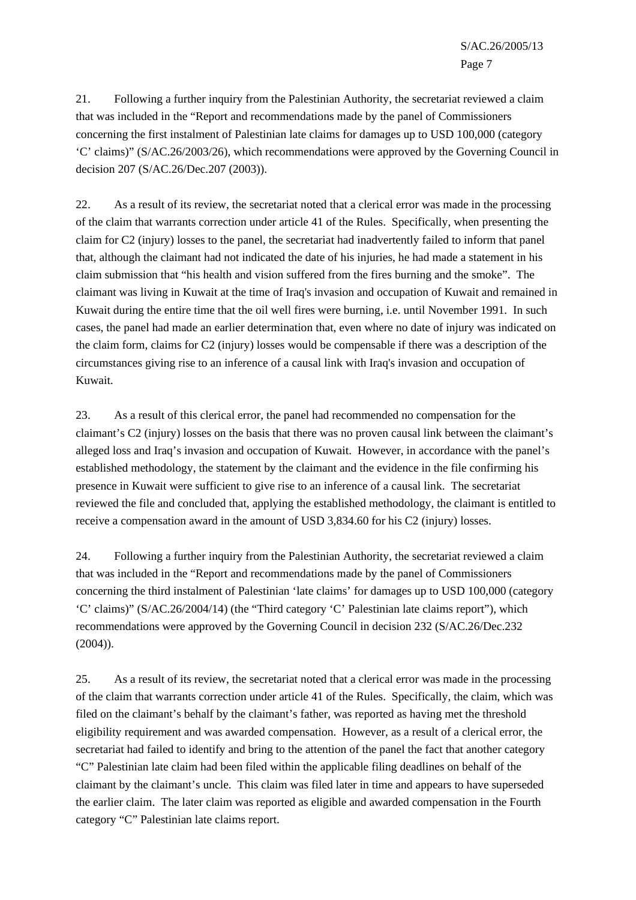21. Following a further inquiry from the Palestinian Authority, the secretariat reviewed a claim that was included in the "Report and recommendations made by the panel of Commissioners concerning the first instalment of Palestinian late claims for damages up to USD 100,000 (category 'C' claims)" (S/AC.26/2003/26), which recommendations were approved by the Governing Council in decision 207 (S/AC.26/Dec.207 (2003)).

22. As a result of its review, the secretariat noted that a clerical error was made in the processing of the claim that warrants correction under article 41 of the Rules. Specifically, when presenting the claim for C2 (injury) losses to the panel, the secretariat had inadvertently failed to inform that panel that, although the claimant had not indicated the date of his injuries, he had made a statement in his claim submission that "his health and vision suffered from the fires burning and the smoke". The claimant was living in Kuwait at the time of Iraq's invasion and occupation of Kuwait and remained in Kuwait during the entire time that the oil well fires were burning, i.e. until November 1991. In such cases, the panel had made an earlier determination that, even where no date of injury was indicated on the claim form, claims for C2 (injury) losses would be compensable if there was a description of the circumstances giving rise to an inference of a causal link with Iraq's invasion and occupation of Kuwait.

23. As a result of this clerical error, the panel had recommended no compensation for the claimant's C2 (injury) losses on the basis that there was no proven causal link between the claimant's alleged loss and Iraq's invasion and occupation of Kuwait. However, in accordance with the panel's established methodology, the statement by the claimant and the evidence in the file confirming his presence in Kuwait were sufficient to give rise to an inference of a causal link. The secretariat reviewed the file and concluded that, applying the established methodology, the claimant is entitled to receive a compensation award in the amount of USD 3,834.60 for his C2 (injury) losses.

24. Following a further inquiry from the Palestinian Authority, the secretariat reviewed a claim that was included in the "Report and recommendations made by the panel of Commissioners concerning the third instalment of Palestinian 'late claims' for damages up to USD 100,000 (category 'C' claims)" (S/AC.26/2004/14) (the "Third category 'C' Palestinian late claims report"), which recommendations were approved by the Governing Council in decision 232 (S/AC.26/Dec.232  $(2004)$ ).

25. As a result of its review, the secretariat noted that a clerical error was made in the processing of the claim that warrants correction under article 41 of the Rules. Specifically, the claim, which was filed on the claimant's behalf by the claimant's father, was reported as having met the threshold eligibility requirement and was awarded compensation. However, as a result of a clerical error, the secretariat had failed to identify and bring to the attention of the panel the fact that another category "C" Palestinian late claim had been filed within the applicable filing deadlines on behalf of the claimant by the claimant's uncle. This claim was filed later in time and appears to have superseded the earlier claim. The later claim was reported as eligible and awarded compensation in the Fourth category "C" Palestinian late claims report.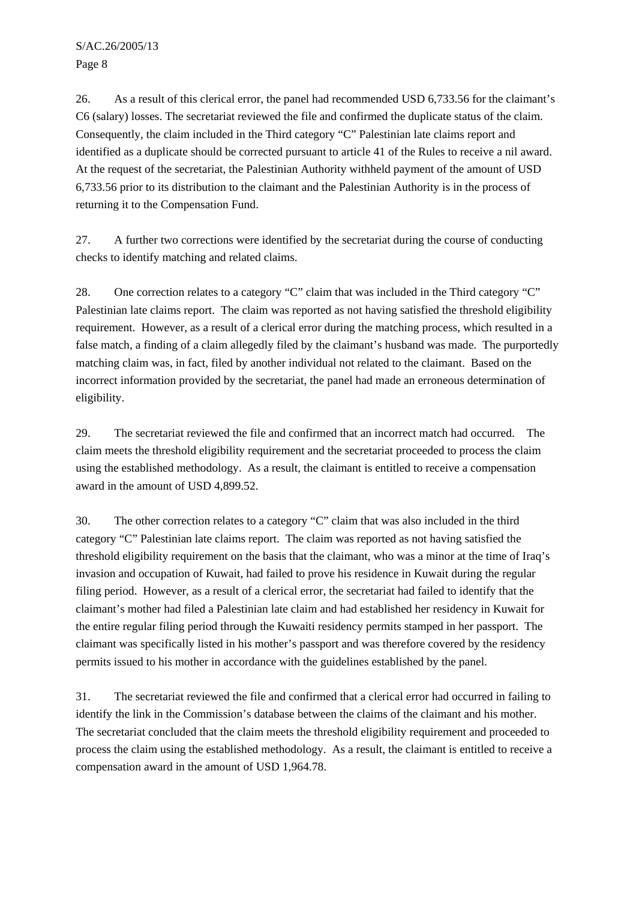Page 8

26. As a result of this clerical error, the panel had recommended USD 6,733.56 for the claimant's C6 (salary) losses. The secretariat reviewed the file and confirmed the duplicate status of the claim. Consequently, the claim included in the Third category "C" Palestinian late claims report and identified as a duplicate should be corrected pursuant to article 41 of the Rules to receive a nil award. At the request of the secretariat, the Palestinian Authority withheld payment of the amount of USD 6,733.56 prior to its distribution to the claimant and the Palestinian Authority is in the process of returning it to the Compensation Fund.

27. A further two corrections were identified by the secretariat during the course of conducting checks to identify matching and related claims.

28. One correction relates to a category "C" claim that was included in the Third category "C" Palestinian late claims report. The claim was reported as not having satisfied the threshold eligibility requirement. However, as a result of a clerical error during the matching process, which resulted in a false match, a finding of a claim allegedly filed by the claimant's husband was made. The purportedly matching claim was, in fact, filed by another individual not related to the claimant. Based on the incorrect information provided by the secretariat, the panel had made an erroneous determination of eligibility.

29. The secretariat reviewed the file and confirmed that an incorrect match had occurred. The claim meets the threshold eligibility requirement and the secretariat proceeded to process the claim using the established methodology. As a result, the claimant is entitled to receive a compensation award in the amount of USD 4,899.52.

30. The other correction relates to a category "C" claim that was also included in the third category "C" Palestinian late claims report. The claim was reported as not having satisfied the threshold eligibility requirement on the basis that the claimant, who was a minor at the time of Iraq's invasion and occupation of Kuwait, had failed to prove his residence in Kuwait during the regular filing period. However, as a result of a clerical error, the secretariat had failed to identify that the claimant's mother had filed a Palestinian late claim and had established her residency in Kuwait for the entire regular filing period through the Kuwaiti residency permits stamped in her passport. The claimant was specifically listed in his mother's passport and was therefore covered by the residency permits issued to his mother in accordance with the guidelines established by the panel.

31. The secretariat reviewed the file and confirmed that a clerical error had occurred in failing to identify the link in the Commission's database between the claims of the claimant and his mother. The secretariat concluded that the claim meets the threshold eligibility requirement and proceeded to process the claim using the established methodology. As a result, the claimant is entitled to receive a compensation award in the amount of USD 1,964.78.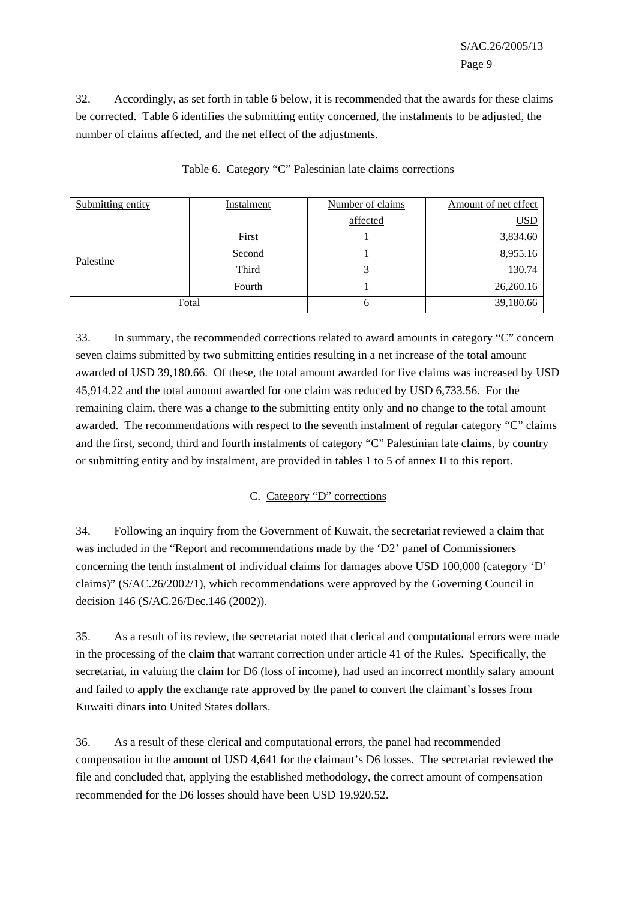32. Accordingly, as set forth in table 6 below, it is recommended that the awards for these claims be corrected. Table 6 identifies the submitting entity concerned, the instalments to be adjusted, the number of claims affected, and the net effect of the adjustments.

| Submitting entity | Instalment | Number of claims | Amount of net effect |
|-------------------|------------|------------------|----------------------|
|                   |            | affected         | <u>USD</u>           |
|                   | First      |                  | 3,834.60             |
| Palestine         | Second     |                  | 8,955.16             |
|                   | Third      |                  | 130.74               |
|                   | Fourth     |                  | 26,260.16            |
| Total             |            | 6                | 39,180.66            |

Table 6. Category "C" Palestinian late claims corrections

33. In summary, the recommended corrections related to award amounts in category "C" concern seven claims submitted by two submitting entities resulting in a net increase of the total amount awarded of USD 39,180.66. Of these, the total amount awarded for five claims was increased by USD 45,914.22 and the total amount awarded for one claim was reduced by USD 6,733.56. For the remaining claim, there was a change to the submitting entity only and no change to the total amount awarded. The recommendations with respect to the seventh instalment of regular category "C" claims and the first, second, third and fourth instalments of category "C" Palestinian late claims, by country or submitting entity and by instalment, are provided in tables 1 to 5 of annex II to this report.

## C. Category "D" corrections

34. Following an inquiry from the Government of Kuwait, the secretariat reviewed a claim that was included in the "Report and recommendations made by the 'D2' panel of Commissioners concerning the tenth instalment of individual claims for damages above USD 100,000 (category 'D' claims)" (S/AC.26/2002/1), which recommendations were approved by the Governing Council in decision 146 (S/AC.26/Dec.146 (2002)).

35. As a result of its review, the secretariat noted that clerical and computational errors were made in the processing of the claim that warrant correction under article 41 of the Rules. Specifically, the secretariat, in valuing the claim for D6 (loss of income), had used an incorrect monthly salary amount and failed to apply the exchange rate approved by the panel to convert the claimant's losses from Kuwaiti dinars into United States dollars.

36. As a result of these clerical and computational errors, the panel had recommended compensation in the amount of USD 4,641 for the claimant's D6 losses. The secretariat reviewed the file and concluded that, applying the established methodology, the correct amount of compensation recommended for the D6 losses should have been USD 19,920.52.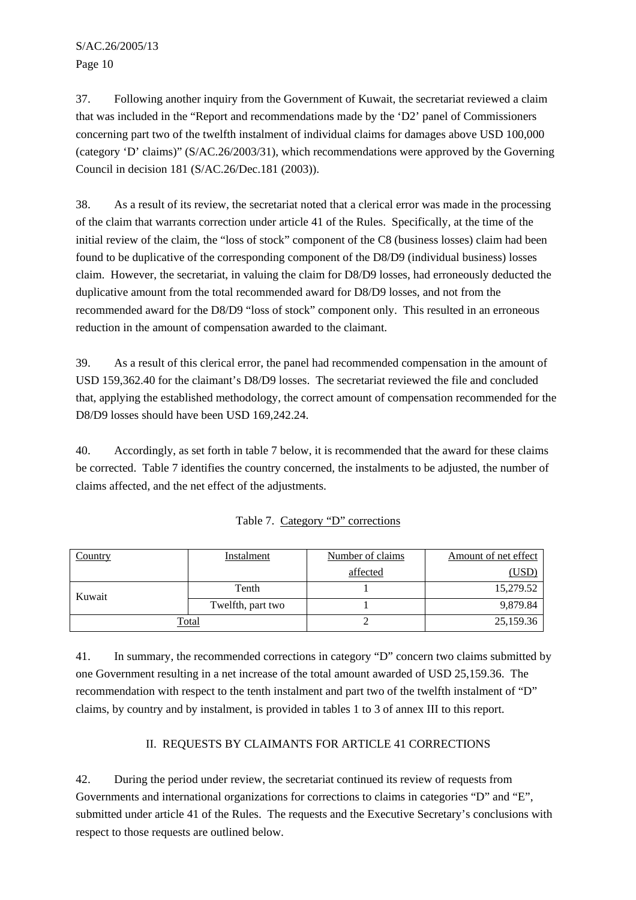37. Following another inquiry from the Government of Kuwait, the secretariat reviewed a claim that was included in the "Report and recommendations made by the 'D2' panel of Commissioners concerning part two of the twelfth instalment of individual claims for damages above USD 100,000 (category 'D' claims)" (S/AC.26/2003/31), which recommendations were approved by the Governing Council in decision 181 (S/AC.26/Dec.181 (2003)).

38. As a result of its review, the secretariat noted that a clerical error was made in the processing of the claim that warrants correction under article 41 of the Rules. Specifically, at the time of the initial review of the claim, the "loss of stock" component of the C8 (business losses) claim had been found to be duplicative of the corresponding component of the D8/D9 (individual business) losses claim. However, the secretariat, in valuing the claim for D8/D9 losses, had erroneously deducted the duplicative amount from the total recommended award for D8/D9 losses, and not from the recommended award for the D8/D9 "loss of stock" component only. This resulted in an erroneous reduction in the amount of compensation awarded to the claimant.

39. As a result of this clerical error, the panel had recommended compensation in the amount of USD 159,362.40 for the claimant's D8/D9 losses. The secretariat reviewed the file and concluded that, applying the established methodology, the correct amount of compensation recommended for the D8/D9 losses should have been USD 169,242.24.

40. Accordingly, as set forth in table 7 below, it is recommended that the award for these claims be corrected. Table 7 identifies the country concerned, the instalments to be adjusted, the number of claims affected, and the net effect of the adjustments.

| Country      | Instalment        | Number of claims | Amount of net effect |
|--------------|-------------------|------------------|----------------------|
|              |                   | affected         | <u>(USD)</u>         |
| Kuwait       | Tenth             |                  | 15,279.52            |
|              | Twelfth, part two |                  | 9,879.84             |
| <u>Total</u> |                   |                  | 25,159.36            |

|  |  |  | Table 7. Category "D" corrections |
|--|--|--|-----------------------------------|
|--|--|--|-----------------------------------|

41. In summary, the recommended corrections in category "D" concern two claims submitted by one Government resulting in a net increase of the total amount awarded of USD 25,159.36. The recommendation with respect to the tenth instalment and part two of the twelfth instalment of "D" claims, by country and by instalment, is provided in tables 1 to 3 of annex III to this report.

## II. REQUESTS BY CLAIMANTS FOR ARTICLE 41 CORRECTIONS

42. During the period under review, the secretariat continued its review of requests from Governments and international organizations for corrections to claims in categories "D" and "E", submitted under article 41 of the Rules. The requests and the Executive Secretary's conclusions with respect to those requests are outlined below.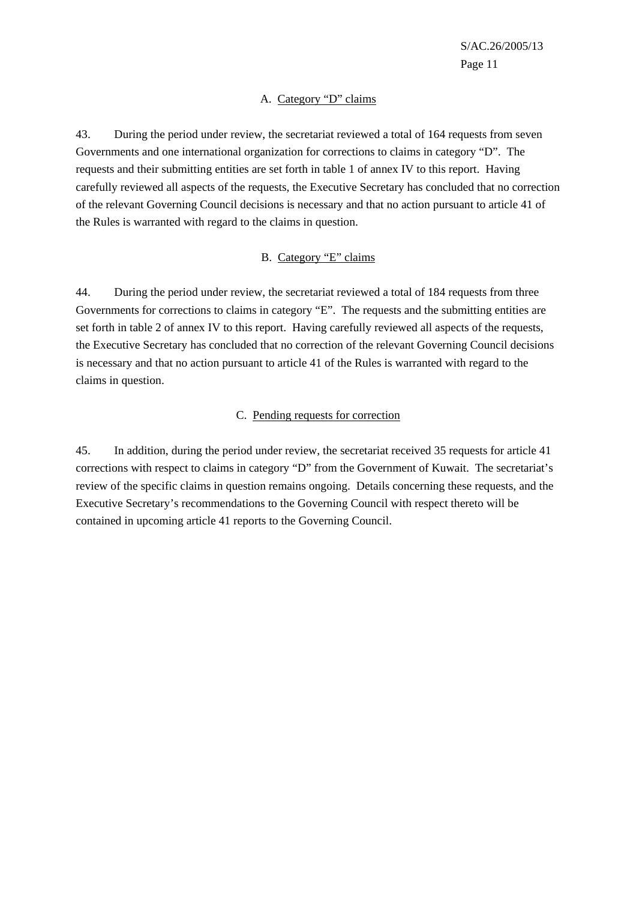## A. Category "D" claims

43. During the period under review, the secretariat reviewed a total of 164 requests from seven Governments and one international organization for corrections to claims in category "D". The requests and their submitting entities are set forth in table 1 of annex IV to this report. Having carefully reviewed all aspects of the requests, the Executive Secretary has concluded that no correction of the relevant Governing Council decisions is necessary and that no action pursuant to article 41 of the Rules is warranted with regard to the claims in question.

#### B. Category "E" claims

44. During the period under review, the secretariat reviewed a total of 184 requests from three Governments for corrections to claims in category "E". The requests and the submitting entities are set forth in table 2 of annex IV to this report. Having carefully reviewed all aspects of the requests, the Executive Secretary has concluded that no correction of the relevant Governing Council decisions is necessary and that no action pursuant to article 41 of the Rules is warranted with regard to the claims in question.

#### C. Pending requests for correction

45. In addition, during the period under review, the secretariat received 35 requests for article 41 corrections with respect to claims in category "D" from the Government of Kuwait. The secretariat's review of the specific claims in question remains ongoing. Details concerning these requests, and the Executive Secretary's recommendations to the Governing Council with respect thereto will be contained in upcoming article 41 reports to the Governing Council.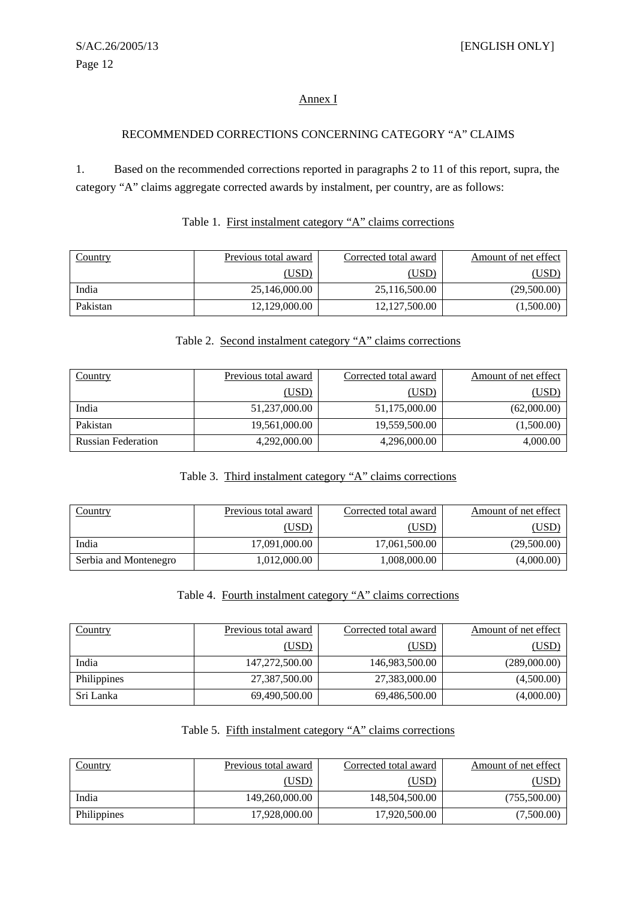## Annex I

## RECOMMENDED CORRECTIONS CONCERNING CATEGORY "A" CLAIMS

1. Based on the recommended corrections reported in paragraphs 2 to 11 of this report, supra, the category "A" claims aggregate corrected awards by instalment, per country, are as follows:

| Country  | Previous total award | Corrected total award | Amount of net effect |
|----------|----------------------|-----------------------|----------------------|
|          | (USD)                | (USD)                 | USD                  |
| India    | 25,146,000.00        | 25,116,500.00         | (29,500.00)          |
| Pakistan | 12,129,000.00        | 12,127,500.00         | (1,500.00)           |

## Table 1. First instalment category "A" claims corrections

#### Table 2. Second instalment category "A" claims corrections

| <b>Country</b>            | Previous total award | Corrected total award | Amount of net effect |
|---------------------------|----------------------|-----------------------|----------------------|
|                           | (USD)                | (USD)                 | <u>(USD)</u>         |
| India                     | 51,237,000.00        | 51,175,000.00         | (62,000.00)          |
| Pakistan                  | 19,561,000.00        | 19,559,500.00         | (1,500.00)           |
| <b>Russian Federation</b> | 4,292,000.00         | 4,296,000.00          | 4,000.00             |

## Table 3. Third instalment category "A" claims corrections

| Country               | Previous total award | Corrected total award | Amount of net effect |
|-----------------------|----------------------|-----------------------|----------------------|
|                       | (USD)                | (USD)                 | <u>'USD</u>          |
| India                 | 17,091,000.00        | 17,061,500.00         | (29,500.00)          |
| Serbia and Montenegro | 1,012,000.00         | 1,008,000.00          | (4,000.00)           |

## Table 4. Fourth instalment category "A" claims corrections

| <b>Country</b> | Previous total award | Corrected total award | Amount of net effect |
|----------------|----------------------|-----------------------|----------------------|
|                | (USD)                | (USD)                 | (USD)                |
| India          | 147,272,500.00       | 146,983,500.00        | (289,000.00)         |
| Philippines    | 27,387,500.00        | 27,383,000.00         | (4,500.00)           |
| Sri Lanka      | 69,490,500.00        | 69,486,500.00         | (4,000.00)           |

#### Table 5. Fifth instalment category "A" claims corrections

| Country     | Previous total award | Corrected total award | Amount of net effect |
|-------------|----------------------|-----------------------|----------------------|
|             | (USD)                | (USD)                 | (USD)                |
| India       | 149,260,000.00       | 148,504,500.00        | (755,500.00)         |
| Philippines | 17,928,000.00        | 17,920,500.00         | (7,500.00)           |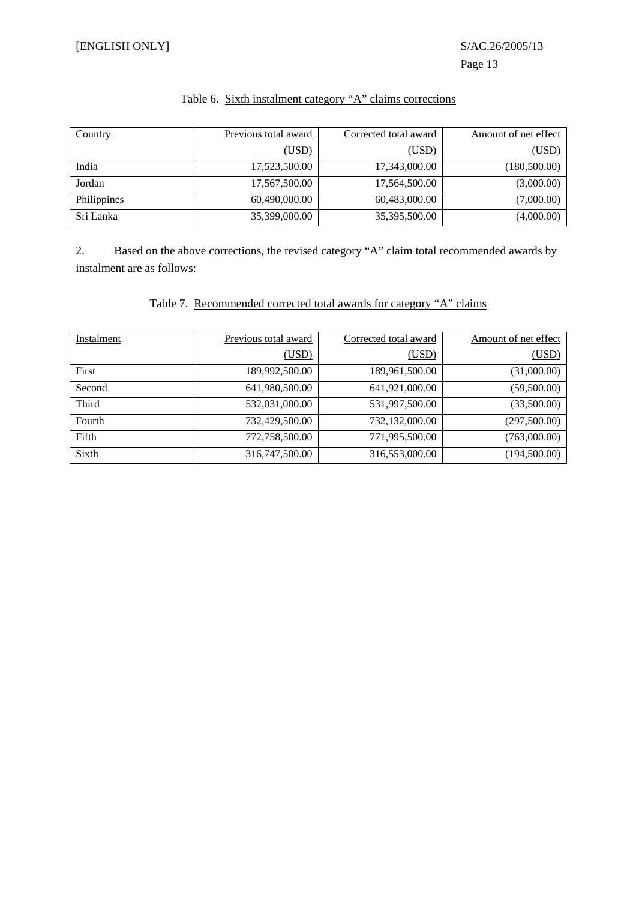| <b>Country</b> | Previous total award | Corrected total award | Amount of net effect |
|----------------|----------------------|-----------------------|----------------------|
|                | (USD)                | (USD)                 | (USD)                |
| India          | 17,523,500.00        | 17,343,000.00         | (180,500.00)         |
| Jordan         | 17,567,500.00        | 17,564,500.00         | (3,000.00)           |
| Philippines    | 60,490,000.00        | 60,483,000.00         | (7,000.00)           |
| Sri Lanka      | 35,399,000.00        | 35,395,500.00         | (4,000.00)           |

## Table 6. Sixth instalment category "A" claims corrections

2. Based on the above corrections, the revised category "A" claim total recommended awards by instalment are as follows:

|  |  | Table 7. Recommended corrected total awards for category "A" claims |  |  |  |  |  |
|--|--|---------------------------------------------------------------------|--|--|--|--|--|
|--|--|---------------------------------------------------------------------|--|--|--|--|--|

| Instalment | Previous total award | Corrected total award | Amount of net effect |
|------------|----------------------|-----------------------|----------------------|
|            | (USD)                | (USD)                 | (USD)                |
| First      | 189,992,500.00       | 189,961,500.00        | (31,000.00)          |
| Second     | 641,980,500.00       | 641,921,000.00        | (59,500.00)          |
| Third      | 532,031,000.00       | 531,997,500.00        | (33,500.00)          |
| Fourth     | 732,429,500.00       | 732,132,000.00        | (297,500.00)         |
| Fifth      | 772,758,500.00       | 771,995,500.00        | (763,000.00)         |
| Sixth      | 316,747,500.00       | 316,553,000.00        | (194, 500.00)        |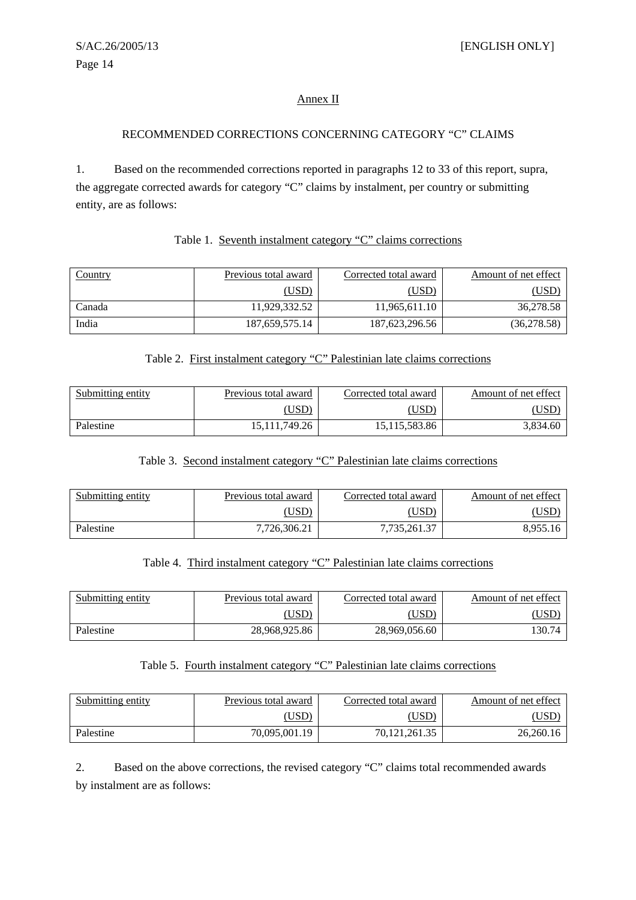## Annex II

#### RECOMMENDED CORRECTIONS CONCERNING CATEGORY "C" CLAIMS

1. Based on the recommended corrections reported in paragraphs 12 to 33 of this report, supra, the aggregate corrected awards for category "C" claims by instalment, per country or submitting entity, are as follows:

#### Table 1. Seventh instalment category "C" claims corrections

| <b>Country</b> | Previous total award | Corrected total award | Amount of net effect |
|----------------|----------------------|-----------------------|----------------------|
|                | (USD)                | (USD)                 | <u>'USD</u>          |
| Canada         | 11,929,332.52        | 11,965,611.10         | 36,278.58            |
| India          | 187,659,575.14       | 187,623,296.56        | (36,278.58)          |

## Table 2. First instalment category "C" Palestinian late claims corrections

| Submitting entity | Previous total award | Corrected total award | Amount of net effect |
|-------------------|----------------------|-----------------------|----------------------|
|                   | USD)                 | ,USD'                 |                      |
| Palestine         | 15,111,749.26        | 15,115,583.86         | 3,834.60             |

#### Table 3. Second instalment category "C" Palestinian late claims corrections

| Submitting entity | Previous total award | Corrected total award | Amount of net effect |
|-------------------|----------------------|-----------------------|----------------------|
|                   | USD)                 | JSD                   | USD                  |
| Palestine         | 7.726.306.21         | 7,735,261.37          | 8,955.16             |

## Table 4. Third instalment category "C" Palestinian late claims corrections

| Submitting entity | Previous total award | Corrected total award | Amount of net effect |
|-------------------|----------------------|-----------------------|----------------------|
|                   | USD                  | $\overline{USD}$      | USD                  |
| Palestine         | 28.968.925.86        | 28,969,056.60         | !30.74               |

#### Table 5. Fourth instalment category "C" Palestinian late claims corrections

| Submitting entity | Previous total award | Corrected total award | Amount of net effect |
|-------------------|----------------------|-----------------------|----------------------|
|                   | USD)                 | $($ USD $)$           | <u>USD</u>           |
| Palestine         | 70.095.001.19        | 70.121.261.35         | 26.260.16            |

2. Based on the above corrections, the revised category "C" claims total recommended awards by instalment are as follows: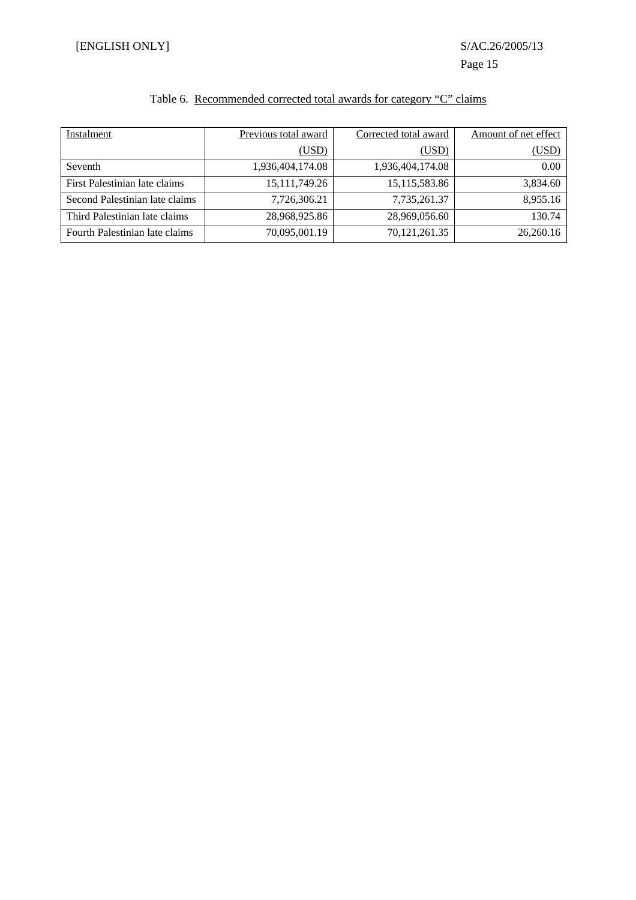# Table 6. Recommended corrected total awards for category "C" claims

| Instalment                     | Previous total award | Corrected total award | Amount of net effect |
|--------------------------------|----------------------|-----------------------|----------------------|
|                                | (USD)                | (USD)                 | (USD)                |
| Seventh                        | 1,936,404,174.08     | 1,936,404,174.08      | 0.00                 |
| First Palestinian late claims  | 15, 111, 749. 26     | 15, 115, 583.86       | 3.834.60             |
| Second Palestinian late claims | 7,726,306.21         | 7.735.261.37          | 8,955.16             |
| Third Palestinian late claims  | 28,968,925.86        | 28,969,056.60         | 130.74               |
| Fourth Palestinian late claims | 70,095,001.19        | 70, 121, 261. 35      | 26,260.16            |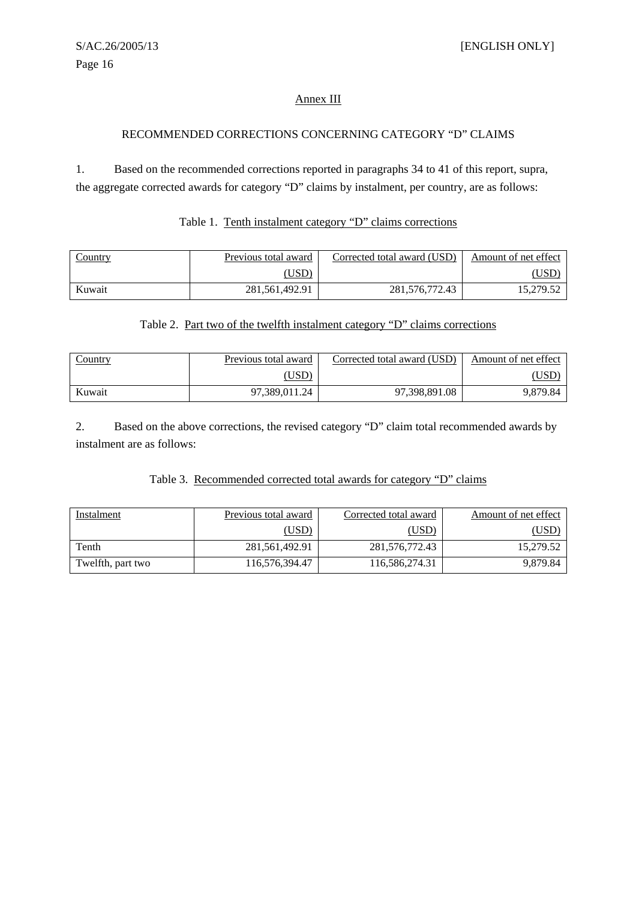## Annex III

#### RECOMMENDED CORRECTIONS CONCERNING CATEGORY "D" CLAIMS

1. Based on the recommended corrections reported in paragraphs 34 to 41 of this report, supra, the aggregate corrected awards for category "D" claims by instalment, per country, are as follows:

#### Table 1. Tenth instalment category "D" claims corrections

| Country | Previous total award | Corrected total award (USD) | Amount of net effect |
|---------|----------------------|-----------------------------|----------------------|
|         | $($ USD $)$          |                             | USD)                 |
| Kuwait  | 281,561,492.91       | 281,576,772.43              | 15,279.52            |

#### Table 2. Part two of the twelfth instalment category "D" claims corrections

| Country | Previous total award | Corrected total award (USD) | Amount of net effect |
|---------|----------------------|-----------------------------|----------------------|
|         | USD)                 |                             | USD                  |
| Kuwait  | 97,389,011.24        | 97,398,891.08               | 9,879.84             |

2. Based on the above corrections, the revised category "D" claim total recommended awards by instalment are as follows:

#### Table 3. Recommended corrected total awards for category "D" claims

| Instalment        | Previous total award | Corrected total award | Amount of net effect |
|-------------------|----------------------|-----------------------|----------------------|
|                   | (USD)                | (USD)                 | [USD]                |
| Tenth             | 281,561,492.91       | 281,576,772.43        | 15,279.52            |
| Twelfth, part two | 116,576,394.47       | 116,586,274.31        | 9.879.84             |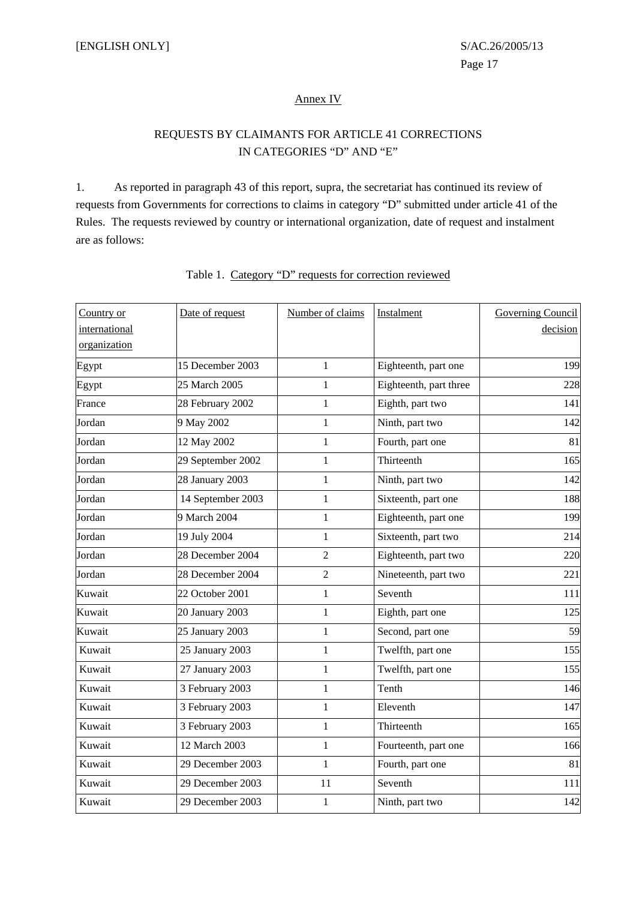#### Annex IV

## REQUESTS BY CLAIMANTS FOR ARTICLE 41 CORRECTIONS IN CATEGORIES "D" AND "E"

1. As reported in paragraph 43 of this report, supra, the secretariat has continued its review of requests from Governments for corrections to claims in category "D" submitted under article 41 of the Rules. The requests reviewed by country or international organization, date of request and instalment are as follows:

| Country or    | Date of request   | Number of claims | Instalment             | Governing Council |
|---------------|-------------------|------------------|------------------------|-------------------|
| international |                   |                  |                        | decision          |
| organization  |                   |                  |                        |                   |
| Egypt         | 15 December 2003  | 1                | Eighteenth, part one   | 199               |
| Egypt         | 25 March 2005     | $\mathbf{1}$     | Eighteenth, part three | 228               |
| France        | 28 February 2002  | $\mathbf{1}$     | Eighth, part two       | 141               |
| Jordan        | 9 May 2002        | $\mathbf{1}$     | Ninth, part two        | 142               |
| Jordan        | 12 May 2002       | $\mathbf{1}$     | Fourth, part one       | 81                |
| Jordan        | 29 September 2002 | 1                | Thirteenth             | 165               |
| Jordan        | 28 January 2003   | 1                | Ninth, part two        | 142               |
| Jordan        | 14 September 2003 | 1                | Sixteenth, part one    | 188               |
| Jordan        | 9 March 2004      | $\mathbf{1}$     | Eighteenth, part one   | 199               |
| Jordan        | 19 July 2004      | 1                | Sixteenth, part two    | 214               |
| Jordan        | 28 December 2004  | $\overline{c}$   | Eighteenth, part two   | 220               |
| Jordan        | 28 December 2004  | $\overline{2}$   | Nineteenth, part two   | 221               |
| Kuwait        | 22 October 2001   | 1                | Seventh                | 111               |
| Kuwait        | 20 January 2003   | $\mathbf{1}$     | Eighth, part one       | 125               |
| Kuwait        | 25 January 2003   | $\mathbf{1}$     | Second, part one       | 59                |
| Kuwait        | 25 January 2003   | $\mathbf{1}$     | Twelfth, part one      | 155               |
| Kuwait        | 27 January 2003   | $\mathbf{1}$     | Twelfth, part one      | 155               |
| Kuwait        | 3 February 2003   | 1                | Tenth                  | 146               |
| Kuwait        | 3 February 2003   | 1                | Eleventh               | 147               |
| Kuwait        | 3 February 2003   | $\mathbf{1}$     | Thirteenth             | 165               |
| Kuwait        | 12 March 2003     | $\mathbf{1}$     | Fourteenth, part one   | 166               |
| Kuwait        | 29 December 2003  | 1                | Fourth, part one       | 81                |
| Kuwait        | 29 December 2003  | 11               | Seventh                | 111               |
| Kuwait        | 29 December 2003  | $\mathbf{1}$     | Ninth, part two        | 142               |

## Table 1. Category "D" requests for correction reviewed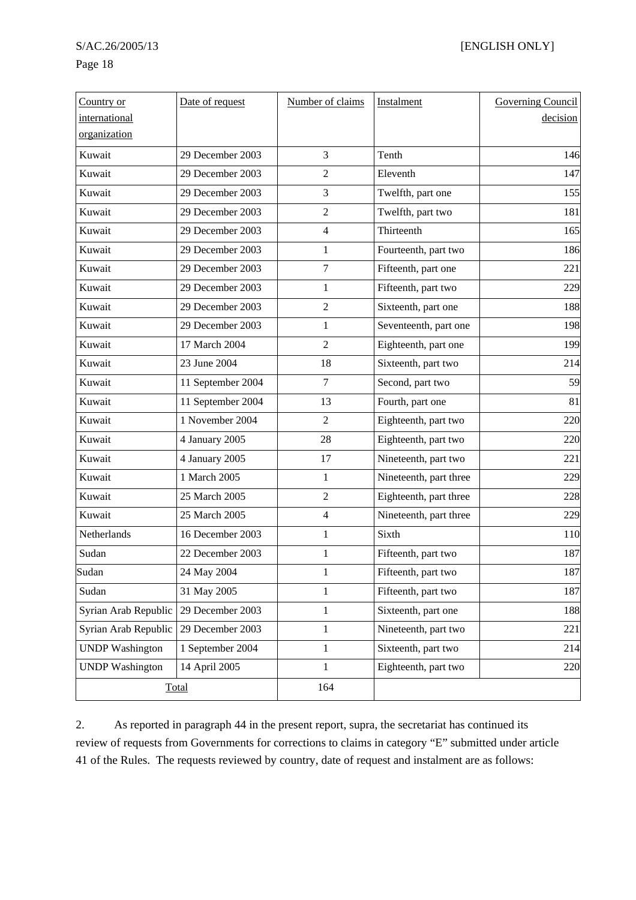## Page 18

| Country or             | Date of request   | Number of claims | Instalment             | Governing Council |
|------------------------|-------------------|------------------|------------------------|-------------------|
| international          |                   |                  |                        | decision          |
| organization           |                   |                  |                        |                   |
| Kuwait                 | 29 December 2003  | 3                | Tenth                  | 146               |
| Kuwait                 | 29 December 2003  | 2                | Eleventh               | 147               |
| Kuwait                 | 29 December 2003  | 3                | Twelfth, part one      | 155               |
| Kuwait                 | 29 December 2003  | $\overline{2}$   | Twelfth, part two      | 181               |
| Kuwait                 | 29 December 2003  | 4                | Thirteenth             | 165               |
| Kuwait                 | 29 December 2003  | 1                | Fourteenth, part two   | 186               |
| Kuwait                 | 29 December 2003  | 7                | Fifteenth, part one    | 221               |
| Kuwait                 | 29 December 2003  | 1                | Fifteenth, part two    | 229               |
| Kuwait                 | 29 December 2003  | 2                | Sixteenth, part one    | 188               |
| Kuwait                 | 29 December 2003  | 1                | Seventeenth, part one  | 198               |
| Kuwait                 | 17 March 2004     | $\overline{2}$   | Eighteenth, part one   | 199               |
| Kuwait                 | 23 June 2004      | 18               | Sixteenth, part two    | 214               |
| Kuwait                 | 11 September 2004 | $\tau$           | Second, part two       | 59                |
| Kuwait                 | 11 September 2004 | 13               | Fourth, part one       | 81                |
| Kuwait                 | 1 November 2004   | $\overline{2}$   | Eighteenth, part two   | 220               |
| Kuwait                 | 4 January 2005    | 28               | Eighteenth, part two   | 220               |
| Kuwait                 | 4 January 2005    | 17               | Nineteenth, part two   | 221               |
| Kuwait                 | 1 March 2005      | $\mathbf{1}$     | Nineteenth, part three | 229               |
| Kuwait                 | 25 March 2005     | $\overline{2}$   | Eighteenth, part three | 228               |
| Kuwait                 | 25 March 2005     | $\overline{4}$   | Nineteenth, part three | 229               |
| Netherlands            | 16 December 2003  | 1                | Sixth                  | 110               |
| Sudan                  | 22 December 2003  | 1                | Fifteenth, part two    | 187               |
| Sudan                  | 24 May 2004       | 1                | Fifteenth, part two    | 187               |
| Sudan                  | 31 May 2005       | 1                | Fifteenth, part two    | 187               |
| Syrian Arab Republic   | 29 December 2003  | 1                | Sixteenth, part one    | 188               |
| Syrian Arab Republic   | 29 December 2003  | $\mathbf{1}$     | Nineteenth, part two   | 221               |
| <b>UNDP</b> Washington | 1 September 2004  | $\mathbf{1}$     | Sixteenth, part two    | 214               |
| <b>UNDP</b> Washington | 14 April 2005     | $\mathbf{1}$     | Eighteenth, part two   | 220               |
|                        | Total             | 164              |                        |                   |

2. As reported in paragraph 44 in the present report, supra, the secretariat has continued its review of requests from Governments for corrections to claims in category "E" submitted under article 41 of the Rules. The requests reviewed by country, date of request and instalment are as follows: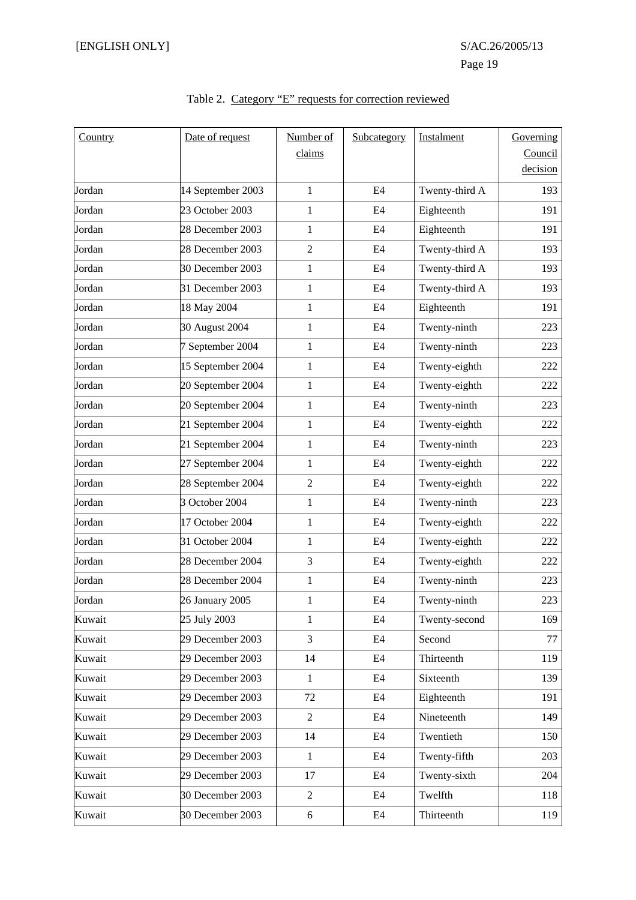| Country | Date of request   | Number of      | Subcategory    | Instalment     | Governing |
|---------|-------------------|----------------|----------------|----------------|-----------|
|         |                   | claims         |                |                | Council   |
|         |                   |                |                |                | decision  |
| Jordan  | 14 September 2003 | $\mathbf{1}$   | E4             | Twenty-third A | 193       |
| Jordan  | 23 October 2003   | $\mathbf{1}$   | E4             | Eighteenth     | 191       |
| Jordan  | 28 December 2003  | $\mathbf{1}$   | E4             | Eighteenth     | 191       |
| Jordan  | 28 December 2003  | $\overline{2}$ | E4             | Twenty-third A | 193       |
| Jordan  | 30 December 2003  | $\mathbf{1}$   | E4             | Twenty-third A | 193       |
| Jordan  | 31 December 2003  | $\mathbf{1}$   | E4             | Twenty-third A | 193       |
| Jordan  | 18 May 2004       | $\mathbf{1}$   | E4             | Eighteenth     | 191       |
| Jordan  | 30 August 2004    | $\mathbf{1}$   | E4             | Twenty-ninth   | 223       |
| Jordan  | 7 September 2004  | $\mathbf{1}$   | E4             | Twenty-ninth   | 223       |
| Jordan  | 15 September 2004 | $\mathbf{1}$   | E4             | Twenty-eighth  | 222       |
| Jordan  | 20 September 2004 | $\mathbf{1}$   | E4             | Twenty-eighth  | 222       |
| Jordan  | 20 September 2004 | $\mathbf{1}$   | E4             | Twenty-ninth   | 223       |
| Jordan  | 21 September 2004 | $\mathbf{1}$   | E4             | Twenty-eighth  | 222       |
| Jordan  | 21 September 2004 | $\mathbf{1}$   | E4             | Twenty-ninth   | 223       |
| Jordan  | 27 September 2004 | $\mathbf{1}$   | E4             | Twenty-eighth  | 222       |
| Jordan  | 28 September 2004 | $\overline{2}$ | E4             | Twenty-eighth  | 222       |
| Jordan  | 3 October 2004    | $\mathbf{1}$   | E4             | Twenty-ninth   | 223       |
| Jordan  | 17 October 2004   | $\mathbf{1}$   | E4             | Twenty-eighth  | 222       |
| Jordan  | 31 October 2004   | $\mathbf{1}$   | E4             | Twenty-eighth  | 222       |
| Jordan  | 28 December 2004  | 3              | E4             | Twenty-eighth  | 222       |
| Jordan  | 28 December 2004  | $\mathbf{1}$   | E4             | Twenty-ninth   | 223       |
| Jordan  | 26 January 2005   | $\mathbf{1}$   | E4             | Twenty-ninth   | 223       |
| Kuwait  | 25 July 2003      | $\mathbf{1}$   | E4             | Twenty-second  | 169       |
| Kuwait  | 29 December 2003  | 3              | E <sub>4</sub> | Second         | 77        |
| Kuwait  | 29 December 2003  | 14             | E <sub>4</sub> | Thirteenth     | 119       |
| Kuwait  | 29 December 2003  | $\mathbf{1}$   | E <sub>4</sub> | Sixteenth      | 139       |
| Kuwait  | 29 December 2003  | 72             | E4             | Eighteenth     | 191       |
| Kuwait  | 29 December 2003  | $\overline{2}$ | E4             | Nineteenth     | 149       |
| Kuwait  | 29 December 2003  | 14             | E4             | Twentieth      | 150       |
| Kuwait  | 29 December 2003  | 1              | E4             | Twenty-fifth   | 203       |
| Kuwait  | 29 December 2003  | 17             | E4             | Twenty-sixth   | 204       |
| Kuwait  | 30 December 2003  | $\sqrt{2}$     | E4             | Twelfth        | 118       |
| Kuwait  | 30 December 2003  | $\sqrt{6}$     | E4             | Thirteenth     | 119       |

## Table 2. Category "E" requests for correction reviewed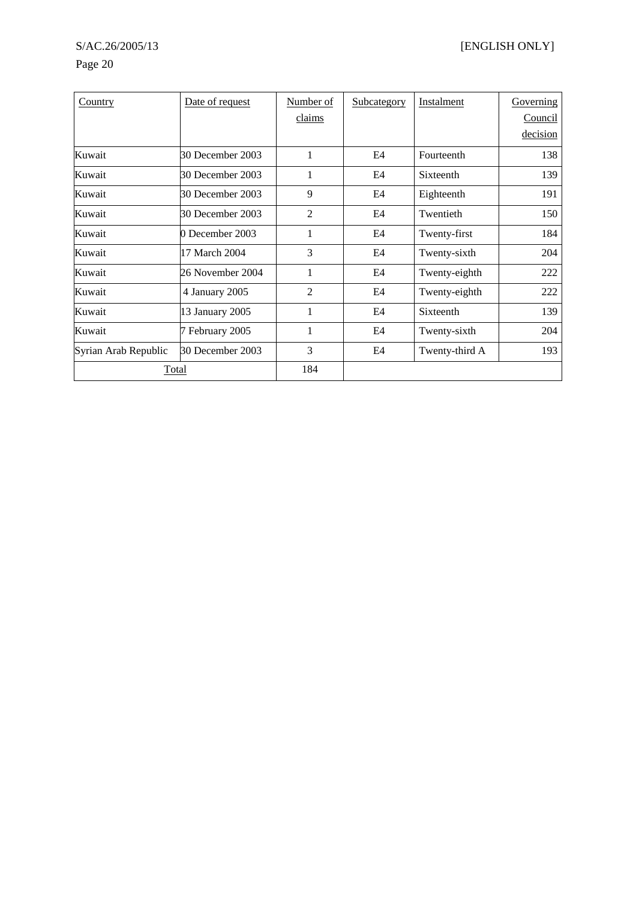# Page 20

| Country              | Date of request  | Number of | Subcategory | Instalment     | Governing |
|----------------------|------------------|-----------|-------------|----------------|-----------|
|                      |                  | claims    |             |                | Council   |
|                      |                  |           |             |                | decision  |
| Kuwait               | 30 December 2003 | 1         | E4          | Fourteenth     | 138       |
| Kuwait               | 30 December 2003 | 1         | E4          | Sixteenth      | 139       |
| Kuwait               | 30 December 2003 | 9         | E4          | Eighteenth     | 191       |
| Kuwait               | 30 December 2003 | 2         | E4          | Twentieth      | 150       |
| Kuwait               | 0 December 2003  | 1         | E4          | Twenty-first   | 184       |
| Kuwait               | 17 March 2004    | 3         | E4          | Twenty-sixth   | 204       |
| Kuwait               | 26 November 2004 | 1         | E4          | Twenty-eighth  | 222       |
| Kuwait               | 4 January 2005   | 2         | E4          | Twenty-eighth  | 222       |
| Kuwait               | 13 January 2005  | 1         | E4          | Sixteenth      | 139       |
| Kuwait               | 7 February 2005  | 1         | E4          | Twenty-sixth   | 204       |
| Syrian Arab Republic | 30 December 2003 | 3         | E4          | Twenty-third A | 193       |
| Total                |                  | 184       |             |                |           |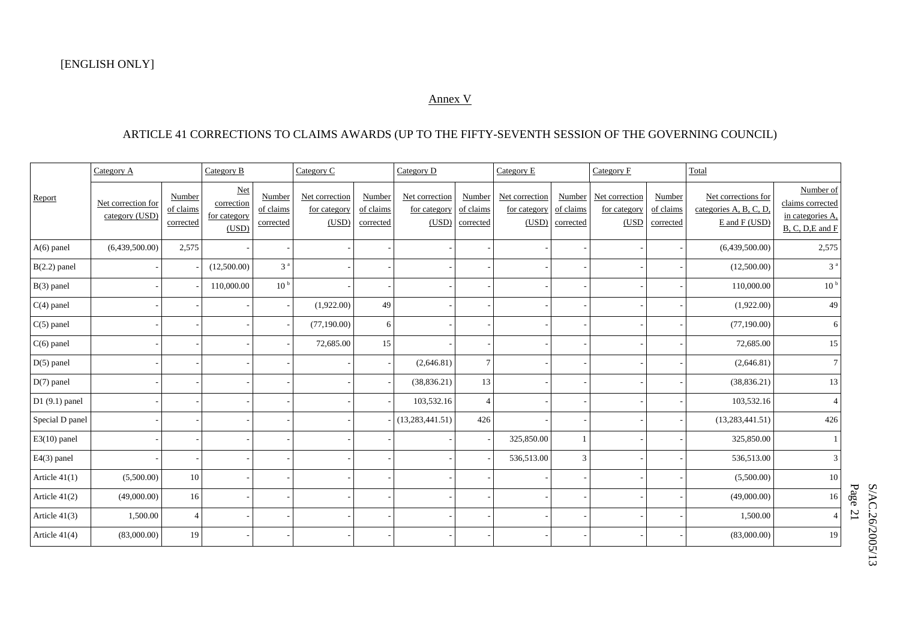## Annex V

## ARTICLE 41 CORRECTIONS TO CLAIMS AWARDS (UP TO THE FIFTY-SEVENTH SESSION OF THE GOVERNING COUNCIL)

|                 | Category B<br>Category A             |                                  |                                            | Category C                       |                                         | Category D<br>Category E         |                                         |                                  |                                         | Category F                       |                                         | Total                            |                                                                |                                                                           |
|-----------------|--------------------------------------|----------------------------------|--------------------------------------------|----------------------------------|-----------------------------------------|----------------------------------|-----------------------------------------|----------------------------------|-----------------------------------------|----------------------------------|-----------------------------------------|----------------------------------|----------------------------------------------------------------|---------------------------------------------------------------------------|
| Report          | Net correction for<br>category (USD) | Number<br>of claims<br>corrected | Net<br>correction<br>for category<br>(USD) | Number<br>of claims<br>corrected | Net correction<br>for category<br>(USD) | Number<br>of claims<br>corrected | Net correction<br>for category<br>(USD) | Number<br>of claims<br>corrected | Net correction<br>for category<br>(USD) | Number<br>of claims<br>corrected | Net correction<br>for category<br>(USD) | Number<br>of claims<br>corrected | Net corrections for<br>categories A, B, C, D,<br>E and F (USD) | Number of<br>claims corrected<br>in categories A,<br>$B, C, D, E$ and $F$ |
| $A(6)$ panel    | (6,439,500.00)                       | 2,575                            |                                            |                                  |                                         |                                  |                                         |                                  |                                         |                                  |                                         |                                  | (6,439,500.00)                                                 | 2,575                                                                     |
| $B(2.2)$ panel  |                                      |                                  | (12,500.00)                                | 3 <sup>a</sup>                   |                                         |                                  |                                         |                                  |                                         |                                  |                                         |                                  | (12,500.00)                                                    | 3 <sup>a</sup>                                                            |
| B(3) panel      |                                      |                                  | 110,000.00                                 | 10 <sup>b</sup>                  |                                         |                                  |                                         |                                  |                                         |                                  |                                         |                                  | 110,000.00                                                     | 10 <sup>b</sup>                                                           |
| $C(4)$ panel    |                                      |                                  |                                            |                                  | (1,922.00)                              | 49                               |                                         |                                  |                                         |                                  |                                         |                                  | (1,922.00)                                                     | 49                                                                        |
| $C(5)$ panel    |                                      |                                  |                                            |                                  | (77,190.00)                             | 6                                |                                         |                                  |                                         |                                  |                                         |                                  | (77, 190.00)                                                   | 6                                                                         |
| $C(6)$ panel    |                                      |                                  |                                            |                                  | 72,685.00                               | 15                               |                                         |                                  |                                         |                                  |                                         |                                  | 72,685.00                                                      | 15                                                                        |
| $D(5)$ panel    |                                      |                                  |                                            |                                  |                                         |                                  | (2,646.81)                              | $\tau$                           |                                         |                                  |                                         |                                  | (2,646.81)                                                     | $\tau$                                                                    |
| $D(7)$ panel    |                                      |                                  |                                            |                                  |                                         |                                  | (38, 836.21)                            | 13                               |                                         |                                  |                                         |                                  | (38, 836.21)                                                   | 13                                                                        |
| $D1(9.1)$ panel |                                      |                                  |                                            |                                  |                                         |                                  | 103,532.16                              | $\overline{4}$                   |                                         |                                  |                                         |                                  | 103,532.16                                                     | $\overline{4}$                                                            |
| Special D panel |                                      |                                  |                                            |                                  |                                         |                                  | (13, 283, 441.51)                       | 426                              |                                         |                                  |                                         |                                  | (13, 283, 441.51)                                              | 426                                                                       |
| $E3(10)$ panel  |                                      |                                  |                                            |                                  |                                         |                                  |                                         |                                  | 325,850.00                              |                                  |                                         |                                  | 325,850.00                                                     |                                                                           |
| E4(3) panel     |                                      |                                  |                                            |                                  |                                         |                                  |                                         |                                  | 536,513.00                              | 3                                |                                         |                                  | 536,513.00                                                     | 3                                                                         |
| Article $41(1)$ | (5,500.00)                           | 10                               |                                            |                                  |                                         |                                  |                                         |                                  |                                         |                                  |                                         |                                  | (5,500.00)                                                     | 10                                                                        |
| Article $41(2)$ | (49,000.00)                          | 16                               |                                            |                                  |                                         |                                  |                                         |                                  |                                         |                                  |                                         |                                  | (49,000.00)                                                    | 16                                                                        |
| Article 41(3)   | 1,500.00                             |                                  |                                            |                                  |                                         |                                  |                                         |                                  |                                         |                                  |                                         |                                  | 1,500.00                                                       | $\overline{4}$                                                            |
| Article $41(4)$ | (83,000.00)                          | 19                               |                                            |                                  |                                         |                                  |                                         |                                  |                                         |                                  |                                         |                                  | (83,000.00)                                                    | 19                                                                        |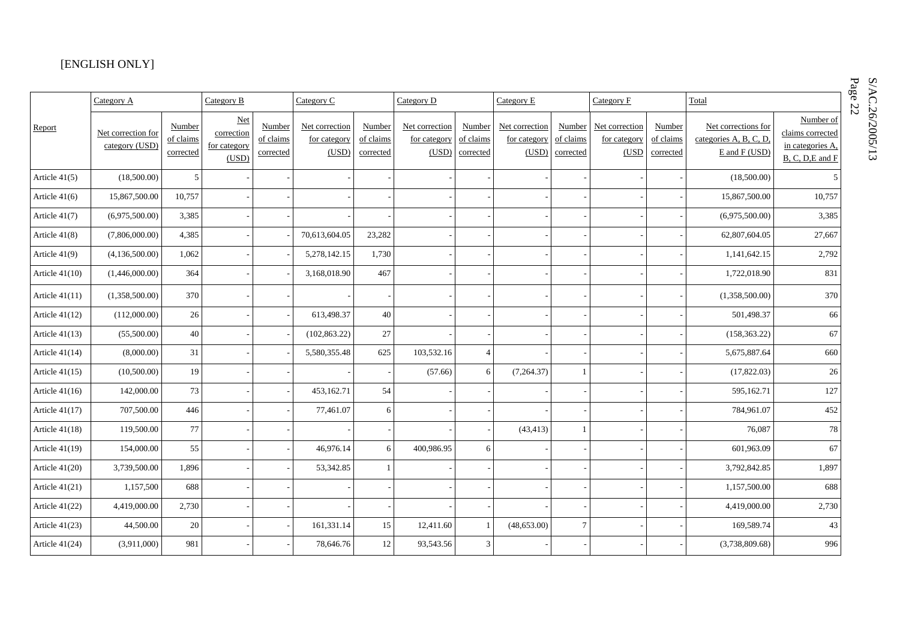## [ENGLISH ONLY]

|                  | Category A                           |                                  | Category B                                        |                                  | Category C                              |                                  | Category D                              |                                  | Category E                              |                                  | Category F                              |                                  | Total                                                          |                                                                       |
|------------------|--------------------------------------|----------------------------------|---------------------------------------------------|----------------------------------|-----------------------------------------|----------------------------------|-----------------------------------------|----------------------------------|-----------------------------------------|----------------------------------|-----------------------------------------|----------------------------------|----------------------------------------------------------------|-----------------------------------------------------------------------|
| Report           | Net correction for<br>category (USD) | Number<br>of claims<br>corrected | <b>Net</b><br>correction<br>for category<br>(USD) | Number<br>of claims<br>corrected | Net correction<br>for category<br>(USD) | Number<br>of claims<br>corrected | Net correction<br>for category<br>(USD) | Number<br>of claims<br>corrected | Net correction<br>for category<br>(USD) | Number<br>of claims<br>corrected | Net correction<br>for category<br>(USD) | Number<br>of claims<br>corrected | Net corrections for<br>categories A, B, C, D,<br>E and F (USD) | Number of<br>claims corrected<br>in categories A.<br>B, C, D, E and F |
| Article 41(5)    | (18,500.00)                          | 5                                |                                                   |                                  |                                         |                                  |                                         |                                  |                                         |                                  |                                         |                                  | (18,500.00)                                                    | .5                                                                    |
| Article $41(6)$  | 15,867,500.00                        | 10,757                           |                                                   |                                  |                                         |                                  |                                         |                                  |                                         |                                  |                                         |                                  | 15,867,500.00                                                  | 10,757                                                                |
| Article 41(7)    | (6,975,500.00)                       | 3,385                            |                                                   |                                  |                                         |                                  |                                         |                                  |                                         |                                  |                                         |                                  | (6,975,500.00)                                                 | 3,385                                                                 |
| Article 41(8)    | (7,806,000.00)                       | 4,385                            |                                                   |                                  | 70,613,604.05                           | 23,282                           |                                         |                                  |                                         |                                  |                                         |                                  | 62,807,604.05                                                  | 27,667                                                                |
| Article $41(9)$  | (4,136,500.00)                       | 1,062                            |                                                   |                                  | 5,278,142.15                            | 1,730                            |                                         |                                  |                                         |                                  |                                         |                                  | 1,141,642.15                                                   | 2,792                                                                 |
| Article $41(10)$ | (1,446,000.00)                       | 364                              |                                                   |                                  | 3,168,018.90                            | 467                              |                                         |                                  |                                         |                                  |                                         |                                  | 1,722,018.90                                                   | 831                                                                   |
| Article $41(11)$ | (1,358,500.00)                       | 370                              |                                                   |                                  |                                         |                                  |                                         |                                  |                                         |                                  |                                         |                                  | (1,358,500.00)                                                 | 370                                                                   |
| Article $41(12)$ | (112,000.00)                         | 26                               |                                                   |                                  | 613,498.37                              | 40                               |                                         |                                  |                                         |                                  |                                         |                                  | 501,498.37                                                     | 66                                                                    |
| Article $41(13)$ | (55,500.00)                          | 40                               |                                                   |                                  | (102, 863.22)                           | 27                               |                                         |                                  |                                         |                                  |                                         |                                  | (158, 363.22)                                                  | 67                                                                    |
| Article $41(14)$ | (8,000.00)                           | 31                               |                                                   |                                  | 5,580,355.48                            | 625                              | 103,532.16                              | $\overline{4}$                   |                                         |                                  |                                         |                                  | 5,675,887.64                                                   | 660                                                                   |
| Article $41(15)$ | (10,500.00)                          | 19                               |                                                   |                                  |                                         |                                  | (57.66)                                 | 6                                | (7,264.37)                              | 1                                |                                         |                                  | (17,822.03)                                                    | 26                                                                    |
| Article $41(16)$ | 142,000.00                           | 73                               |                                                   |                                  | 453,162.71                              | 54                               |                                         |                                  |                                         |                                  |                                         |                                  | 595,162.71                                                     | 127                                                                   |
| Article $41(17)$ | 707,500.00                           | 446                              |                                                   |                                  | 77,461.07                               | 6                                |                                         |                                  |                                         |                                  |                                         |                                  | 784,961.07                                                     | 452                                                                   |
| Article $41(18)$ | 119,500.00                           | 77                               |                                                   |                                  |                                         |                                  |                                         |                                  | (43, 413)                               | $\overline{1}$                   |                                         |                                  | 76,087                                                         | 78                                                                    |
| Article $41(19)$ | 154,000.00                           | 55                               |                                                   |                                  | 46,976.14                               | 6                                | 400,986.95                              | 6                                |                                         |                                  |                                         |                                  | 601,963.09                                                     | 67                                                                    |
| Article $41(20)$ | 3,739,500.00                         | 1,896                            |                                                   |                                  | 53,342.85                               |                                  |                                         |                                  |                                         |                                  |                                         |                                  | 3,792,842.85                                                   | 1,897                                                                 |
| Article $41(21)$ | 1,157,500                            | 688                              |                                                   |                                  |                                         |                                  |                                         |                                  |                                         |                                  |                                         |                                  | 1,157,500.00                                                   | 688                                                                   |
| Article $41(22)$ | 4,419,000.00                         | 2,730                            |                                                   |                                  |                                         |                                  |                                         |                                  |                                         |                                  |                                         |                                  | 4,419,000.00                                                   | 2,730                                                                 |
| Article $41(23)$ | 44,500.00                            | 20                               |                                                   |                                  | 161,331.14                              | 15                               | 12,411.60                               | $\mathbf{1}$                     | (48, 653.00)                            | $\tau$                           |                                         |                                  | 169,589.74                                                     | 43                                                                    |
| Article $41(24)$ | (3,911,000)                          | 981                              |                                                   |                                  | 78,646.76                               | 12                               | 93,543.56                               | 3                                |                                         |                                  |                                         |                                  | (3,738,809.68)                                                 | 996                                                                   |